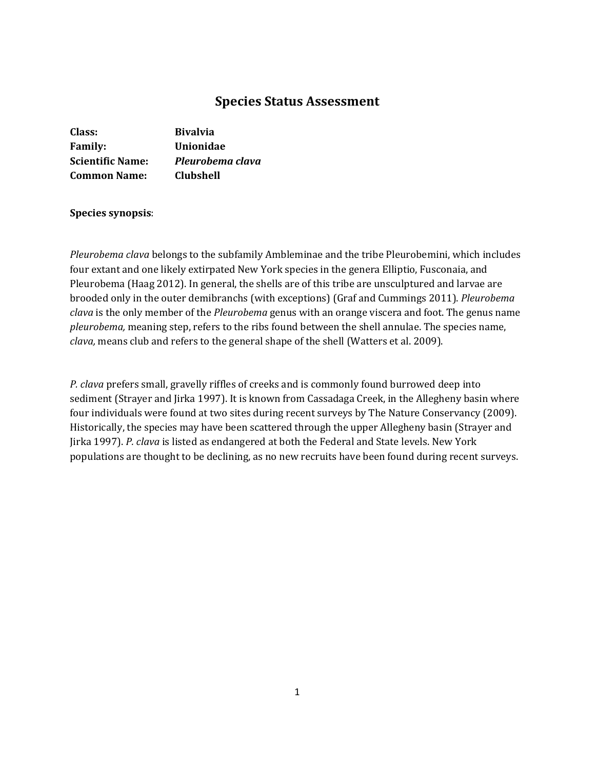# **Species Status Assessment**

| Class:                  | <b>Bivalvia</b>  |
|-------------------------|------------------|
| <b>Family:</b>          | <b>Unionidae</b> |
| <b>Scientific Name:</b> | Pleurobema clava |
| <b>Common Name:</b>     | Clubshell        |

## **Species synopsis**:

*Pleurobema clava* belongs to the subfamily Ambleminae and the tribe Pleurobemini, which includes four extant and one likely extirpated New York species in the genera Elliptio, Fusconaia, and Pleurobema (Haag 2012). In general, the shells are of this tribe are unsculptured and larvae are brooded only in the outer demibranchs (with exceptions) (Graf and Cummings 2011). *Pleurobema clava* is the only member of the *Pleurobema* genus with an orange viscera and foot. The genus name *pleurobema,* meaning step, refers to the ribs found between the shell annulae. The species name, *clava,* means club and refers to the general shape of the shell (Watters et al. 2009).

*P. clava* prefers small, gravelly riffles of creeks and is commonly found burrowed deep into sediment (Strayer and Jirka 1997). It is known from Cassadaga Creek, in the Allegheny basin where four individuals were found at two sites during recent surveys by The Nature Conservancy (2009). Historically, the species may have been scattered through the upper Allegheny basin (Strayer and Jirka 1997). *P. clava* is listed as endangered at both the Federal and State levels. New York populations are thought to be declining, as no new recruits have been found during recent surveys.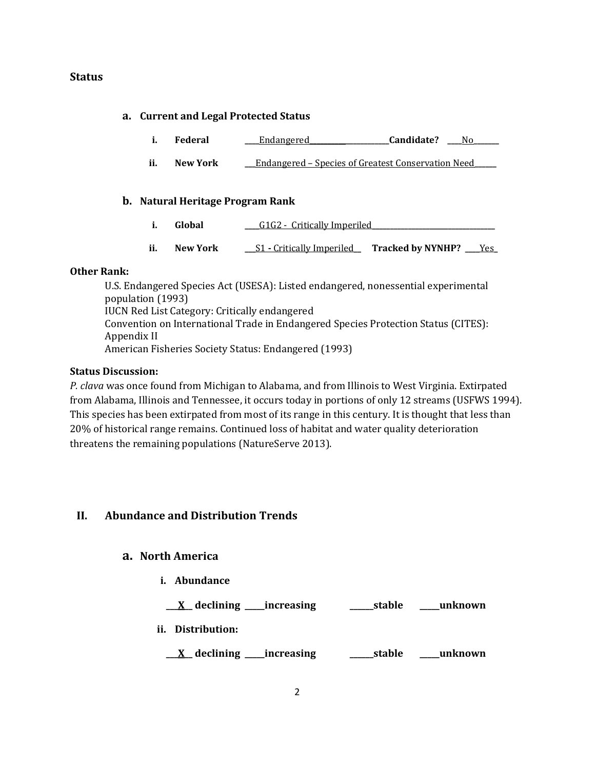# **Status**

### **a. Current and Legal Protected Status**

|  | Federal | Endangered | Candidate? |  |
|--|---------|------------|------------|--|
|--|---------|------------|------------|--|

**ii. New York \_\_\_**Endangered – Species of Greatest Conservation Need**\_\_\_\_\_\_**

### **b. Natural Heritage Program Rank**

- **i. Global \_\_\_\_**G1G2 Critically Imperiled**\_\_\_\_\_\_\_\_\_\_\_\_\_\_\_\_\_\_\_\_\_\_\_\_\_\_\_\_\_\_\_\_\_\_**
- **ii. New York \_\_\_**S1 **-** Critically Imperiled**\_\_ Tracked by NYNHP? \_\_\_\_**Yes**\_**

### **Other Rank:**

U.S. Endangered Species Act (USESA): Listed endangered, nonessential experimental population (1993) IUCN Red List Category: Critically endangered Convention on International Trade in Endangered Species Protection Status (CITES): Appendix II American Fisheries Society Status: Endangered (1993)

### **Status Discussion:**

*P. clava* was once found from Michigan to Alabama, and from Illinois to West Virginia. Extirpated from Alabama, Illinois and Tennessee, it occurs today in portions of only 12 streams (USFWS 1994). This species has been extirpated from most of its range in this century. It is thought that less than 20% of historical range remains. Continued loss of habitat and water quality deterioration threatens the remaining populations (NatureServe 2013).

# **II. Abundance and Distribution Trends**

# **a. North America**

**i. Abundance**

| $X$ declining increasing | ______stable | unknown |
|--------------------------|--------------|---------|
| ii. Distribution:        |              |         |
|                          |              |         |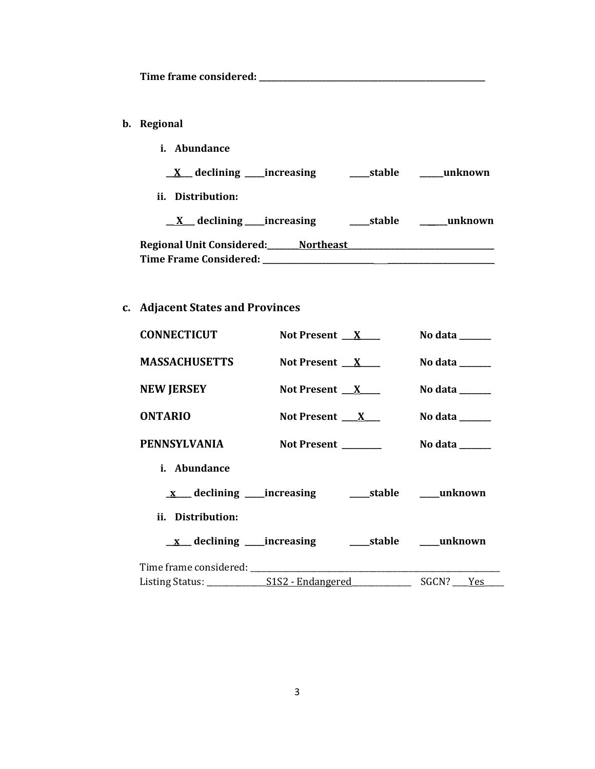**Time frame considered: \_\_\_\_\_\_\_\_\_\_\_\_\_\_\_\_\_\_\_\_\_\_\_\_\_\_\_\_\_\_\_\_\_\_\_\_\_\_\_\_\_\_\_\_\_\_\_\_\_\_\_\_\_\_\_\_\_**

- **b. Regional** 
	- **i. Abundance**

**\_\_X\_\_\_ declining \_\_\_\_\_increasing \_\_\_\_\_stable \_\_\_\_\_\_unknown**

**ii. Distribution:**

| declining increasing             |                  | stable | unknown |
|----------------------------------|------------------|--------|---------|
| <b>Regional Unit Considered:</b> | <b>Northeast</b> |        |         |
| Time Frame Considered:           |                  |        |         |

# **c. Adjacent States and Provinces**

| <b>CONNECTICUT</b>   | Not Present $X$     | No data $\_\_\_\_\_\_\_\_\_\_\_\$   |
|----------------------|---------------------|-------------------------------------|
| <b>MASSACHUSETTS</b> | Not Present $X$     | No data $\_\_\_\_\_\_\_\_\_\_\_\$   |
| <b>NEW JERSEY</b>    | Not Present $X$     | No data $\_\_\_\_\_\_\_\_\_\_\_\$   |
| <b>ONTARIO</b>       | Not Present $X_{-}$ | No data $\_\_\_\_\_\_\_\_\_\_\_\_\$ |
| <b>PENNSYLVANIA</b>  | Not Present ______  | No data $\_\_$                      |
| i. Abundance         |                     |                                     |
|                      |                     |                                     |
| ii. Distribution:    |                     |                                     |
|                      |                     |                                     |
|                      |                     |                                     |
|                      |                     | SGCN? Yes                           |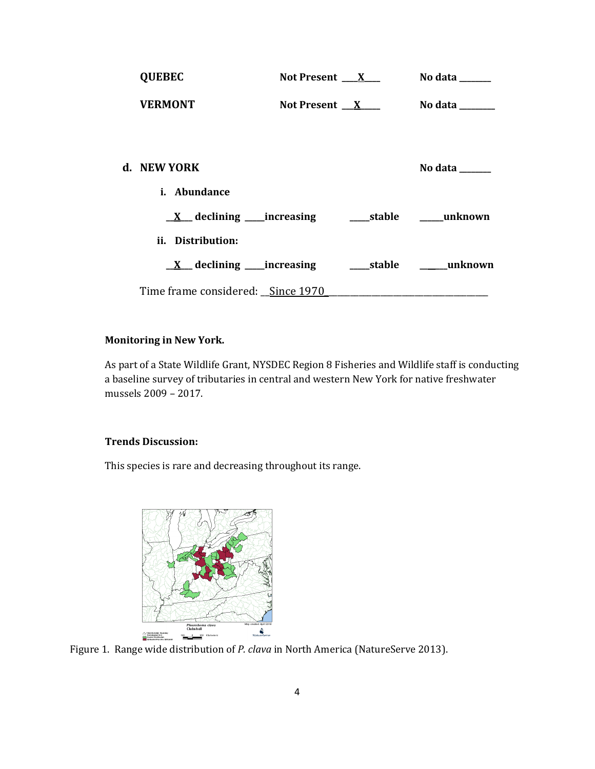| <b>QUEBEC</b>                             | Not Present $X_{-}$ | No data $\_\_\_\_\_\_\_\_\_\_\_\$ |
|-------------------------------------------|---------------------|-----------------------------------|
| <b>VERMONT</b>                            | Not Present $X$     | No data $\_\_$                    |
|                                           |                     |                                   |
| d. NEW YORK                               |                     | No data                           |
| <i>i.</i> Abundance                       |                     |                                   |
|                                           |                     |                                   |
| ii. Distribution:                         |                     |                                   |
| $\underline{X}$ declining _____increasing |                     | stable unknown                    |
| Time frame considered: Since 1970         |                     |                                   |

# **Monitoring in New York.**

As part of a State Wildlife Grant, NYSDEC Region 8 Fisheries and Wildlife staff is conducting a baseline survey of tributaries in central and western New York for native freshwater mussels 2009 – 2017.

### **Trends Discussion:**

This species is rare and decreasing throughout its range.



Figure 1. Range wide distribution of *P. clava* in North America (NatureServe 2013).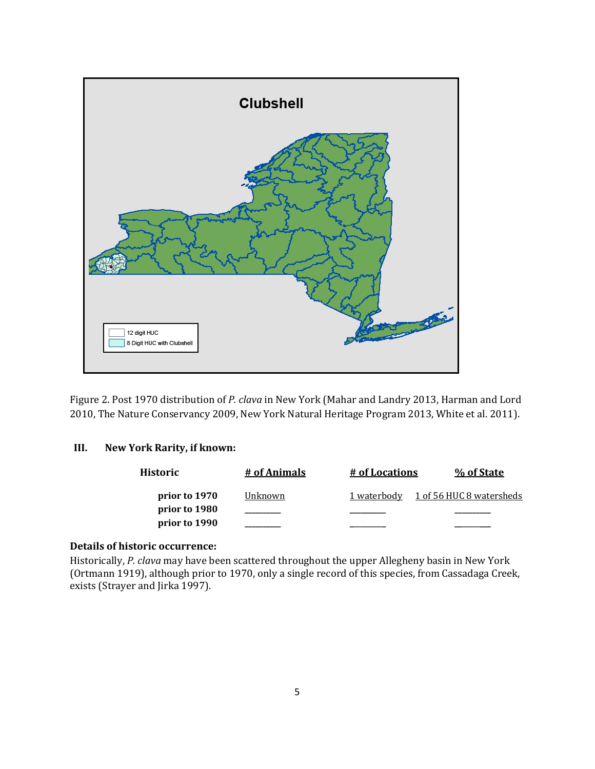

Figure 2. Post 1970 distribution of *P. clava* in New York (Mahar and Landry 2013, Harman and Lord 2010, The Nature Conservancy 2009, New York Natural Heritage Program 2013, White et al. 2011).

### **III. New York Rarity, if known:**

| Historic      | # of Animals | <u># of Locations</u> | % of State               |
|---------------|--------------|-----------------------|--------------------------|
| prior to 1970 | Unknown      | 1 waterbody           | 1 of 56 HUC 8 watersheds |
| prior to 1980 |              |                       |                          |
| prior to 1990 |              |                       |                          |

### **Details of historic occurrence:**

Historically, *P. clava* may have been scattered throughout the upper Allegheny basin in New York (Ortmann 1919), although prior to 1970, only a single record of this species, from Cassadaga Creek, exists (Strayer and Jirka 1997).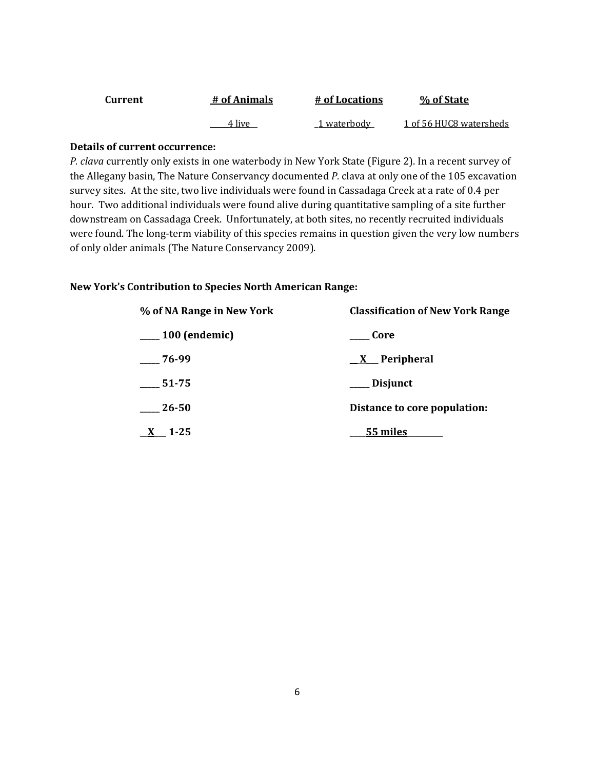| Current | # of Animals | # of Locations | % of State              |
|---------|--------------|----------------|-------------------------|
|         | 4 live       | 1 waterbody    | 1 of 56 HUC8 watersheds |

### **Details of current occurrence:**

*P. clava* currently only exists in one waterbody in New York State (Figure 2). In a recent survey of the Allegany basin, The Nature Conservancy documented *P.* clava at only one of the 105 excavation survey sites. At the site, two live individuals were found in Cassadaga Creek at a rate of 0.4 per hour. Two additional individuals were found alive during quantitative sampling of a site further downstream on Cassadaga Creek. Unfortunately, at both sites, no recently recruited individuals were found. The long-term viability of this species remains in question given the very low numbers of only older animals (The Nature Conservancy 2009).

### **New York's Contribution to Species North American Range:**

| % of NA Range in New York | <b>Classification of New York Range</b> |
|---------------------------|-----------------------------------------|
| $\frac{100}{2}$ (endemic) | Core                                    |
| $-76-99$                  | <u>X</u> Peripheral                     |
| $\frac{1}{2}$ 51-75       | Disjunct                                |
| $-26-50$                  | Distance to core population:            |
| $X$ 1.25                  | 55 miles                                |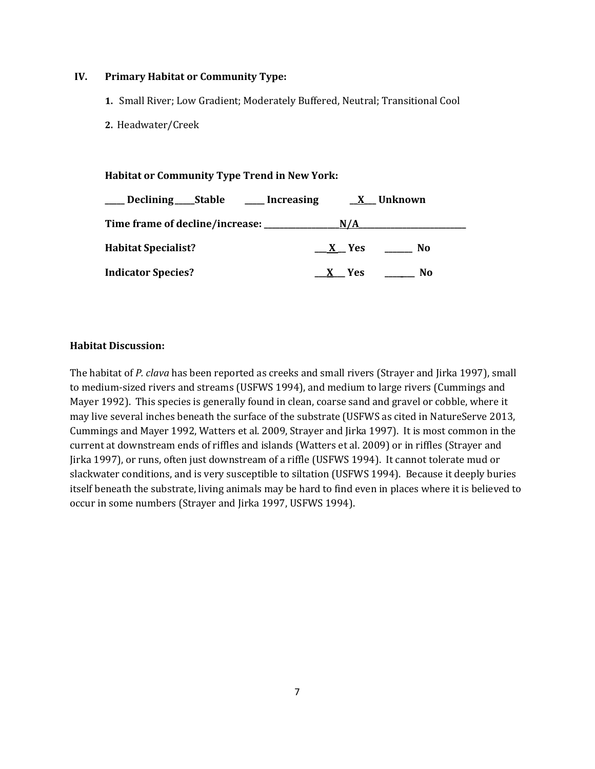### **IV. Primary Habitat or Community Type:**

- **1.** Small River; Low Gradient; Moderately Buffered, Neutral; Transitional Cool
- **2.** Headwater/Creek

**Habitat or Community Type Trend in New York:**

| Declining Stable Increasing | <b>X</b> Unknown |     |
|-----------------------------|------------------|-----|
|                             | N/A              |     |
| <b>Habitat Specialist?</b>  | X Yes            | No  |
| <b>Indicator Species?</b>   | X Yes            | No. |

### **Habitat Discussion:**

The habitat of *P. clava* has been reported as creeks and small rivers (Strayer and Jirka 1997), small to medium-sized rivers and streams (USFWS 1994), and medium to large rivers (Cummings and Mayer 1992). This species is generally found in clean, coarse sand and gravel or cobble, where it may live several inches beneath the surface of the substrate (USFWS as cited in NatureServe 2013, Cummings and Mayer 1992, Watters et al. 2009, Strayer and Jirka 1997). It is most common in the current at downstream ends of riffles and islands (Watters et al. 2009) or in riffles (Strayer and Jirka 1997), or runs, often just downstream of a riffle (USFWS 1994). It cannot tolerate mud or slackwater conditions, and is very susceptible to siltation (USFWS 1994). Because it deeply buries itself beneath the substrate, living animals may be hard to find even in places where it is believed to occur in some numbers (Strayer and Jirka 1997, USFWS 1994).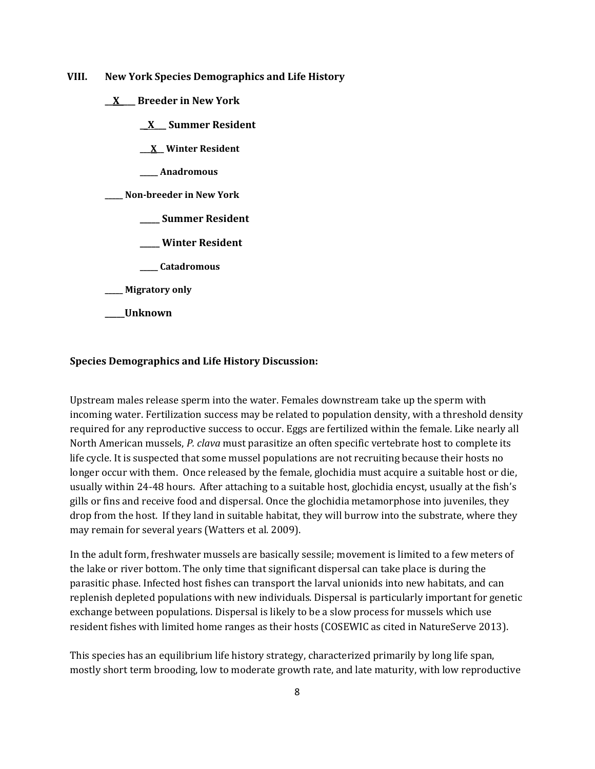**VIII. New York Species Demographics and Life History**

**\_\_X\_\_\_\_ Breeder in New York**

**\_\_X\_\_\_ Summer Resident**

**\_\_\_X\_\_ Winter Resident**

**\_\_\_\_\_ Anadromous**

**\_\_\_\_\_ Non-breeder in New York**

**\_\_\_\_\_ Summer Resident**

**\_\_\_\_\_ Winter Resident**

**\_\_\_\_\_ Catadromous**

**\_\_\_\_\_ Migratory only**

**\_\_\_\_\_Unknown**

#### **Species Demographics and Life History Discussion:**

Upstream males release sperm into the water. Females downstream take up the sperm with incoming water. Fertilization success may be related to population density, with a threshold density required for any reproductive success to occur. Eggs are fertilized within the female. Like nearly all North American mussels, *P. clava* must parasitize an often specific vertebrate host to complete its life cycle. It is suspected that some mussel populations are not recruiting because their hosts no longer occur with them. Once released by the female, glochidia must acquire a suitable host or die, usually within 24-48 hours. After attaching to a suitable host, glochidia encyst, usually at the fish's gills or fins and receive food and dispersal. Once the glochidia metamorphose into juveniles, they drop from the host. If they land in suitable habitat, they will burrow into the substrate, where they may remain for several years (Watters et al. 2009).

In the adult form, freshwater mussels are basically sessile; movement is limited to a few meters of the lake or river bottom. The only time that significant dispersal can take place is during the parasitic phase. Infected host fishes can transport the larval unionids into new habitats, and can replenish depleted populations with new individuals. Dispersal is particularly important for genetic exchange between populations. Dispersal is likely to be a slow process for mussels which use resident fishes with limited home ranges as their hosts (COSEWIC as cited in NatureServe 2013).

This species has an equilibrium life history strategy, characterized primarily by long life span, mostly short term brooding, low to moderate growth rate, and late maturity, with low reproductive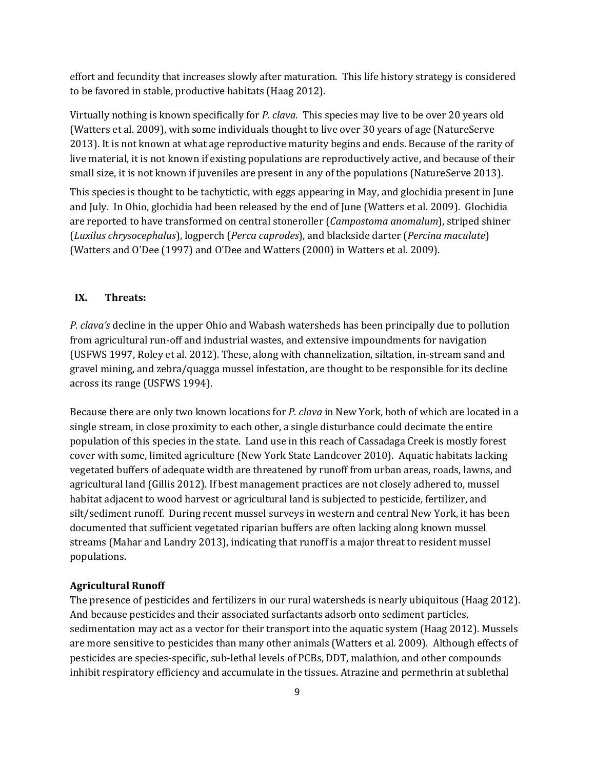effort and fecundity that increases slowly after maturation. This life history strategy is considered to be favored in stable, productive habitats (Haag 2012).

Virtually nothing is known specifically for *P. clava*. This species may live to be over 20 years old (Watters et al. 2009), with some individuals thought to live over 30 years of age (NatureServe 2013). It is not known at what age reproductive maturity begins and ends. Because of the rarity of live material, it is not known if existing populations are reproductively active, and because of their small size, it is not known if juveniles are present in any of the populations (NatureServe 2013).

This species is thought to be tachytictic, with eggs appearing in May, and glochidia present in June and July. In Ohio, glochidia had been released by the end of June (Watters et al. 2009). Glochidia are reported to have transformed on central stoneroller (*Campostoma anomalum*), striped shiner (*Luxilus chrysocephalus*), logperch (*Perca caprodes*), and blackside darter (*Percina maculate*) (Watters and O'Dee (1997) and O'Dee and Watters (2000) in Watters et al. 2009).

### **IX. Threats:**

*P. clava's* decline in the upper Ohio and Wabash watersheds has been principally due to pollution from agricultural run-off and industrial wastes, and extensive impoundments for navigation (USFWS 1997, Roley et al. 2012). These, along with channelization, siltation, in-stream sand and gravel mining, and zebra/quagga mussel infestation, are thought to be responsible for its decline across its range (USFWS 1994).

Because there are only two known locations for *P. clava* in New York, both of which are located in a single stream, in close proximity to each other, a single disturbance could decimate the entire population of this species in the state. Land use in this reach of Cassadaga Creek is mostly forest cover with some, limited agriculture (New York State Landcover 2010). Aquatic habitats lacking vegetated buffers of adequate width are threatened by runoff from urban areas, roads, lawns, and agricultural land (Gillis 2012). If best management practices are not closely adhered to, mussel habitat adjacent to wood harvest or agricultural land is subjected to pesticide, fertilizer, and silt/sediment runoff. During recent mussel surveys in western and central New York, it has been documented that sufficient vegetated riparian buffers are often lacking along known mussel streams (Mahar and Landry 2013), indicating that runoff is a major threat to resident mussel populations.

### **Agricultural Runoff**

The presence of pesticides and fertilizers in our rural watersheds is nearly ubiquitous (Haag 2012). And because pesticides and their associated surfactants adsorb onto sediment particles, sedimentation may act as a vector for their transport into the aquatic system (Haag 2012). Mussels are more sensitive to pesticides than many other animals (Watters et al. 2009). Although effects of pesticides are species-specific, sub-lethal levels of PCBs, DDT, malathion, and other compounds inhibit respiratory efficiency and accumulate in the tissues. Atrazine and permethrin at sublethal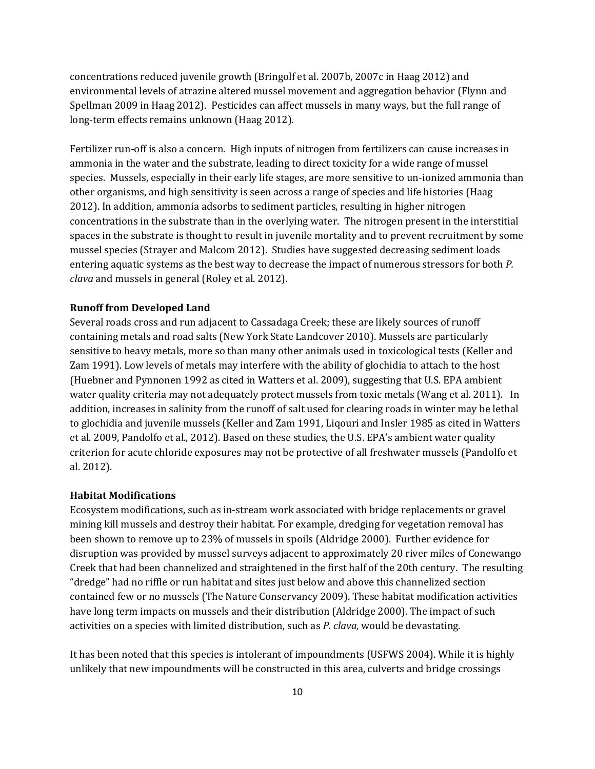concentrations reduced juvenile growth (Bringolf et al. 2007b, 2007c in Haag 2012) and environmental levels of atrazine altered mussel movement and aggregation behavior (Flynn and Spellman 2009 in Haag 2012). Pesticides can affect mussels in many ways, but the full range of long-term effects remains unknown (Haag 2012).

Fertilizer run-off is also a concern. High inputs of nitrogen from fertilizers can cause increases in ammonia in the water and the substrate, leading to direct toxicity for a wide range of mussel species. Mussels, especially in their early life stages, are more sensitive to un-ionized ammonia than other organisms, and high sensitivity is seen across a range of species and life histories (Haag 2012). In addition, ammonia adsorbs to sediment particles, resulting in higher nitrogen concentrations in the substrate than in the overlying water. The nitrogen present in the interstitial spaces in the substrate is thought to result in juvenile mortality and to prevent recruitment by some mussel species (Strayer and Malcom 2012). Studies have suggested decreasing sediment loads entering aquatic systems as the best way to decrease the impact of numerous stressors for both *P. clava* and mussels in general (Roley et al. 2012).

#### **Runoff from Developed Land**

Several roads cross and run adjacent to Cassadaga Creek; these are likely sources of runoff containing metals and road salts (New York State Landcover 2010). Mussels are particularly sensitive to heavy metals, more so than many other animals used in toxicological tests (Keller and Zam 1991). Low levels of metals may interfere with the ability of glochidia to attach to the host (Huebner and Pynnonen 1992 as cited in Watters et al. 2009), suggesting that U.S. EPA ambient water quality criteria may not adequately protect mussels from toxic metals (Wang et al. 2011). In addition, increases in salinity from the runoff of salt used for clearing roads in winter may be lethal to glochidia and juvenile mussels (Keller and Zam 1991, Liqouri and Insler 1985 as cited in Watters et al. 2009, Pandolfo et al., 2012). Based on these studies, the U.S. EPA's ambient water quality criterion for acute chloride exposures may not be protective of all freshwater mussels (Pandolfo et al. 2012).

#### **Habitat Modifications**

Ecosystem modifications, such as in-stream work associated with bridge replacements or gravel mining kill mussels and destroy their habitat. For example, dredging for vegetation removal has been shown to remove up to 23% of mussels in spoils (Aldridge 2000). Further evidence for disruption was provided by mussel surveys adjacent to approximately 20 river miles of Conewango Creek that had been channelized and straightened in the first half of the 20th century. The resulting "dredge" had no riffle or run habitat and sites just below and above this channelized section contained few or no mussels (The Nature Conservancy 2009). These habitat modification activities have long term impacts on mussels and their distribution (Aldridge 2000). The impact of such activities on a species with limited distribution, such as *P. clava,* would be devastating.

It has been noted that this species is intolerant of impoundments (USFWS 2004). While it is highly unlikely that new impoundments will be constructed in this area, culverts and bridge crossings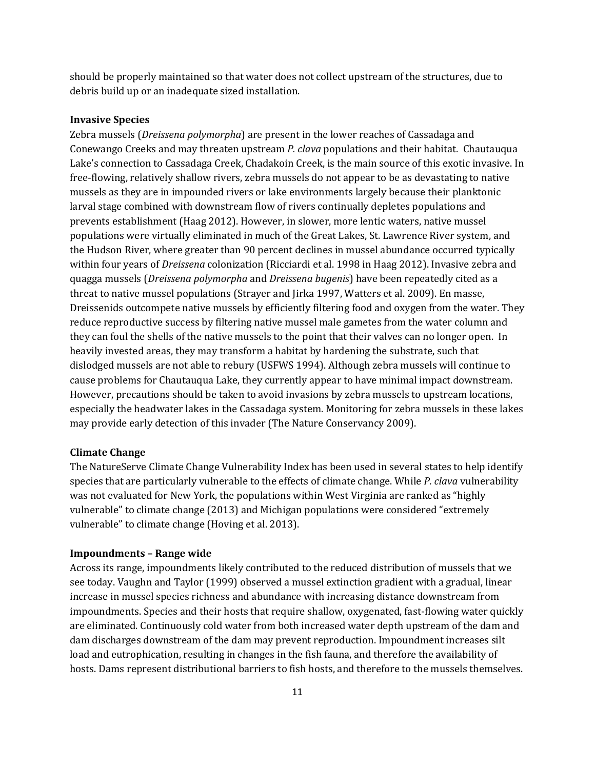should be properly maintained so that water does not collect upstream of the structures, due to debris build up or an inadequate sized installation.

#### **Invasive Species**

Zebra mussels (*Dreissena polymorpha*) are present in the lower reaches of Cassadaga and Conewango Creeks and may threaten upstream *P. clava* populations and their habitat. Chautauqua Lake's connection to Cassadaga Creek, Chadakoin Creek, is the main source of this exotic invasive. In free‐flowing, relatively shallow rivers, zebra mussels do not appear to be as devastating to native mussels as they are in impounded rivers or lake environments largely because their planktonic larval stage combined with downstream flow of rivers continually depletes populations and prevents establishment (Haag 2012). However, in slower, more lentic waters, native mussel populations were virtually eliminated in much of the Great Lakes, St. Lawrence River system, and the Hudson River, where greater than 90 percent declines in mussel abundance occurred typically within four years of *Dreissena* colonization (Ricciardi et al. 1998 in Haag 2012). Invasive zebra and quagga mussels (*Dreissena polymorpha* and *Dreissena bugenis*) have been repeatedly cited as a threat to native mussel populations (Strayer and Jirka 1997, Watters et al. 2009). En masse, Dreissenids outcompete native mussels by efficiently filtering food and oxygen from the water. They reduce reproductive success by filtering native mussel male gametes from the water column and they can foul the shells of the native mussels to the point that their valves can no longer open. In heavily invested areas, they may transform a habitat by hardening the substrate, such that dislodged mussels are not able to rebury (USFWS 1994). Although zebra mussels will continue to cause problems for Chautauqua Lake, they currently appear to have minimal impact downstream. However, precautions should be taken to avoid invasions by zebra mussels to upstream locations, especially the headwater lakes in the Cassadaga system. Monitoring for zebra mussels in these lakes may provide early detection of this invader (The Nature Conservancy 2009).

#### **Climate Change**

The NatureServe Climate Change Vulnerability Index has been used in several states to help identify species that are particularly vulnerable to the effects of climate change. While *P. clava* vulnerability was not evaluated for New York, the populations within West Virginia are ranked as "highly vulnerable" to climate change (2013) and Michigan populations were considered "extremely vulnerable" to climate change (Hoving et al. 2013).

#### **Impoundments – Range wide**

Across its range, impoundments likely contributed to the reduced distribution of mussels that we see today. Vaughn and Taylor (1999) observed a mussel extinction gradient with a gradual, linear increase in mussel species richness and abundance with increasing distance downstream from impoundments. Species and their hosts that require shallow, oxygenated, fast-flowing water quickly are eliminated. Continuously cold water from both increased water depth upstream of the dam and dam discharges downstream of the dam may prevent reproduction. Impoundment increases silt load and eutrophication, resulting in changes in the fish fauna, and therefore the availability of hosts. Dams represent distributional barriers to fish hosts, and therefore to the mussels themselves.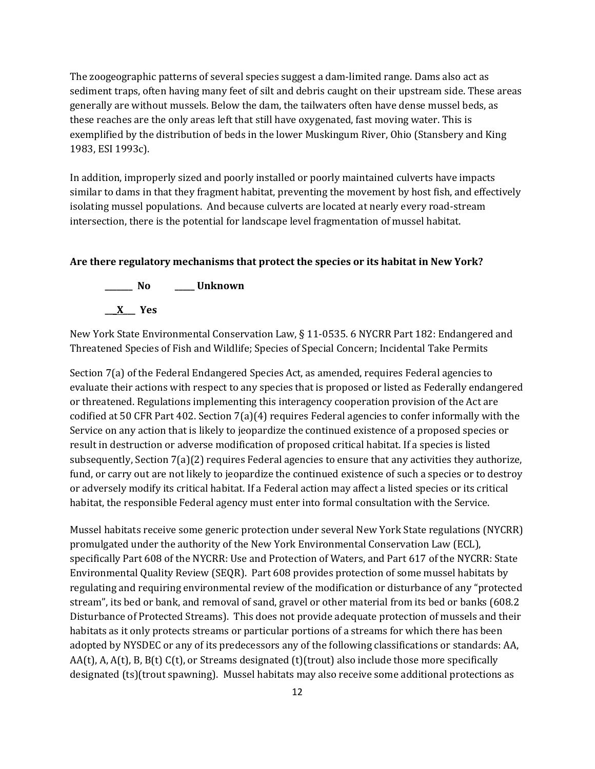The zoogeographic patterns of several species suggest a dam-limited range. Dams also act as sediment traps, often having many feet of silt and debris caught on their upstream side. These areas generally are without mussels. Below the dam, the tailwaters often have dense mussel beds, as these reaches are the only areas left that still have oxygenated, fast moving water. This is exemplified by the distribution of beds in the lower Muskingum River, Ohio (Stansbery and King 1983, ESI 1993c).

In addition, improperly sized and poorly installed or poorly maintained culverts have impacts similar to dams in that they fragment habitat, preventing the movement by host fish, and effectively isolating mussel populations. And because culverts are located at nearly every road-stream intersection, there is the potential for landscape level fragmentation of mussel habitat.

#### **Are there regulatory mechanisms that protect the species or its habitat in New York?**



New York State Environmental Conservation Law, § 11-0535. 6 NYCRR Part 182: Endangered and Threatened Species of Fish and Wildlife; Species of Special Concern; Incidental Take Permits

Section 7(a) of the Federal Endangered Species Act, as amended, requires Federal agencies to evaluate their actions with respect to any species that is proposed or listed as Federally endangered or threatened. Regulations implementing this interagency cooperation provision of the Act are codified at 50 CFR Part 402. Section 7(a)(4) requires Federal agencies to confer informally with the Service on any action that is likely to jeopardize the continued existence of a proposed species or result in destruction or adverse modification of proposed critical habitat. If a species is listed subsequently, Section 7(a)(2) requires Federal agencies to ensure that any activities they authorize, fund, or carry out are not likely to jeopardize the continued existence of such a species or to destroy or adversely modify its critical habitat. If a Federal action may affect a listed species or its critical habitat, the responsible Federal agency must enter into formal consultation with the Service.

Mussel habitats receive some generic protection under several New York State regulations (NYCRR) promulgated under the authority of the New York Environmental Conservation Law (ECL), specifically Part 608 of the NYCRR: Use and Protection of Waters, and Part 617 of the NYCRR: State Environmental Quality Review (SEQR). Part 608 provides protection of some mussel habitats by regulating and requiring environmental review of the modification or disturbance of any "protected stream", its bed or bank, and removal of sand, gravel or other material from its bed or banks (608.2 Disturbance of Protected Streams). This does not provide adequate protection of mussels and their habitats as it only protects streams or particular portions of a streams for which there has been adopted by NYSDEC or any of its predecessors any of the following classifications or standards: AA,  $AA(t)$ , A,  $A(t)$ , B,  $B(t)$  C(t), or Streams designated (t)(trout) also include those more specifically designated (ts)(trout spawning). Mussel habitats may also receive some additional protections as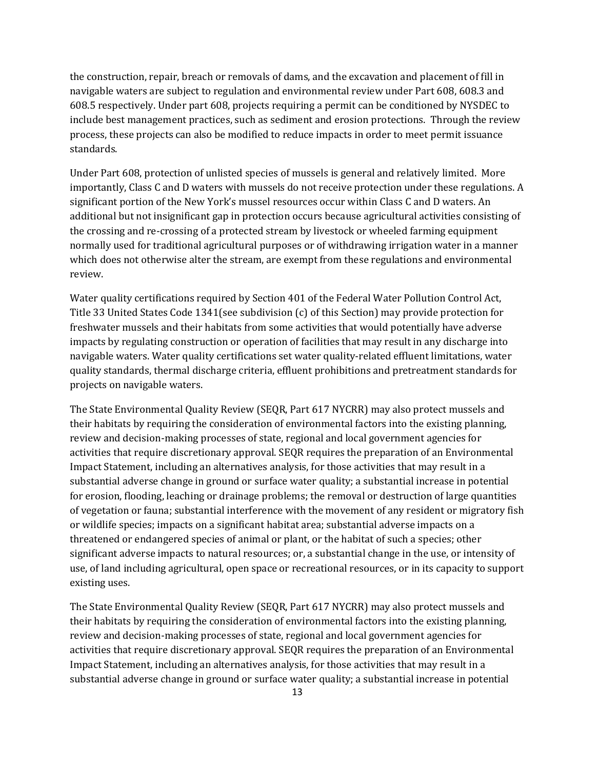the construction, repair, breach or removals of dams, and the excavation and placement of fill in navigable waters are subject to regulation and environmental review under Part 608, 608.3 and 608.5 respectively. Under part 608, projects requiring a permit can be conditioned by NYSDEC to include best management practices, such as sediment and erosion protections. Through the review process, these projects can also be modified to reduce impacts in order to meet permit issuance standards.

Under Part 608, protection of unlisted species of mussels is general and relatively limited. More importantly, Class C and D waters with mussels do not receive protection under these regulations. A significant portion of the New York's mussel resources occur within Class C and D waters. An additional but not insignificant gap in protection occurs because agricultural activities consisting of the crossing and re-crossing of a protected stream by livestock or wheeled farming equipment normally used for traditional agricultural purposes or of withdrawing irrigation water in a manner which does not otherwise alter the stream, are exempt from these regulations and environmental review.

Water quality certifications required by Section 401 of the Federal Water Pollution Control Act, Title 33 United States Code 1341(see subdivision (c) of this Section) may provide protection for freshwater mussels and their habitats from some activities that would potentially have adverse impacts by regulating construction or operation of facilities that may result in any discharge into navigable waters. Water quality certifications set water quality-related effluent limitations, water quality standards, thermal discharge criteria, effluent prohibitions and pretreatment standards for projects on navigable waters.

The State Environmental Quality Review (SEQR, Part 617 NYCRR) may also protect mussels and their habitats by requiring the consideration of environmental factors into the existing planning, review and decision-making processes of state, regional and local government agencies for activities that require discretionary approval. SEQR requires the preparation of an Environmental Impact Statement, including an alternatives analysis, for those activities that may result in a substantial adverse change in ground or surface water quality; a substantial increase in potential for erosion, flooding, leaching or drainage problems; the removal or destruction of large quantities of vegetation or fauna; substantial interference with the movement of any resident or migratory fish or wildlife species; impacts on a significant habitat area; substantial adverse impacts on a threatened or endangered species of animal or plant, or the habitat of such a species; other significant adverse impacts to natural resources; or, a substantial change in the use, or intensity of use, of land including agricultural, open space or recreational resources, or in its capacity to support existing uses.

The State Environmental Quality Review (SEQR, Part 617 NYCRR) may also protect mussels and their habitats by requiring the consideration of environmental factors into the existing planning, review and decision-making processes of state, regional and local government agencies for activities that require discretionary approval. SEQR requires the preparation of an Environmental Impact Statement, including an alternatives analysis, for those activities that may result in a substantial adverse change in ground or surface water quality; a substantial increase in potential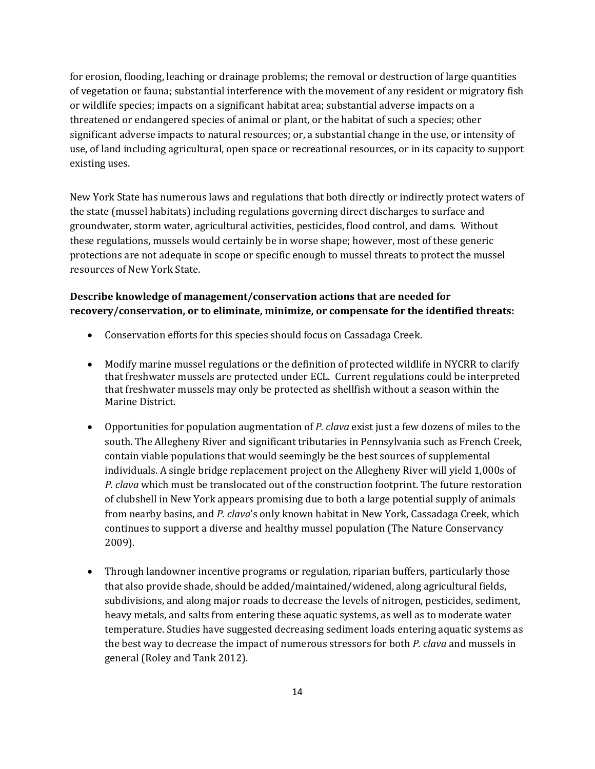for erosion, flooding, leaching or drainage problems; the removal or destruction of large quantities of vegetation or fauna; substantial interference with the movement of any resident or migratory fish or wildlife species; impacts on a significant habitat area; substantial adverse impacts on a threatened or endangered species of animal or plant, or the habitat of such a species; other significant adverse impacts to natural resources; or, a substantial change in the use, or intensity of use, of land including agricultural, open space or recreational resources, or in its capacity to support existing uses.

New York State has numerous laws and regulations that both directly or indirectly protect waters of the state (mussel habitats) including regulations governing direct discharges to surface and groundwater, storm water, agricultural activities, pesticides, flood control, and dams. Without these regulations, mussels would certainly be in worse shape; however, most of these generic protections are not adequate in scope or specific enough to mussel threats to protect the mussel resources of New York State.

# **Describe knowledge of management/conservation actions that are needed for recovery/conservation, or to eliminate, minimize, or compensate for the identified threats:**

- Conservation efforts for this species should focus on Cassadaga Creek.
- Modify marine mussel regulations or the definition of protected wildlife in NYCRR to clarify that freshwater mussels are protected under ECL. Current regulations could be interpreted that freshwater mussels may only be protected as shellfish without a season within the Marine District.
- Opportunities for population augmentation of *P. clava* exist just a few dozens of miles to the south. The Allegheny River and significant tributaries in Pennsylvania such as French Creek, contain viable populations that would seemingly be the best sources of supplemental individuals. A single bridge replacement project on the Allegheny River will yield 1,000s of *P. clava* which must be translocated out of the construction footprint. The future restoration of clubshell in New York appears promising due to both a large potential supply of animals from nearby basins, and *P. clava*'s only known habitat in New York, Cassadaga Creek, which continues to support a diverse and healthy mussel population (The Nature Conservancy 2009).
- Through landowner incentive programs or regulation, riparian buffers, particularly those that also provide shade, should be added/maintained/widened, along agricultural fields, subdivisions, and along major roads to decrease the levels of nitrogen, pesticides, sediment, heavy metals, and salts from entering these aquatic systems, as well as to moderate water temperature. Studies have suggested decreasing sediment loads entering aquatic systems as the best way to decrease the impact of numerous stressors for both *P. clava* and mussels in general (Roley and Tank 2012).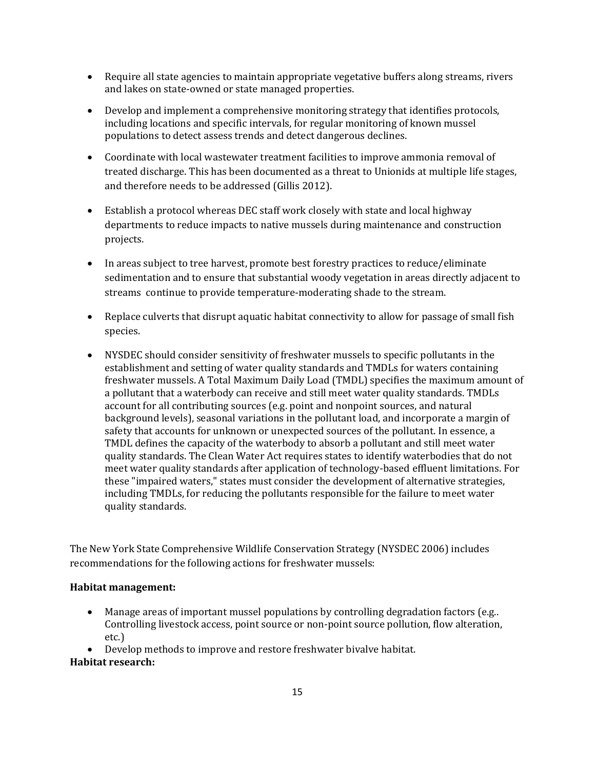- Require all state agencies to maintain appropriate vegetative buffers along streams, rivers and lakes on state-owned or state managed properties.
- Develop and implement a comprehensive monitoring strategy that identifies protocols, including locations and specific intervals, for regular monitoring of known mussel populations to detect assess trends and detect dangerous declines.
- Coordinate with local wastewater treatment facilities to improve ammonia removal of treated discharge. This has been documented as a threat to Unionids at multiple life stages, and therefore needs to be addressed (Gillis 2012).
- Establish a protocol whereas DEC staff work closely with state and local highway departments to reduce impacts to native mussels during maintenance and construction projects.
- In areas subject to tree harvest, promote best forestry practices to reduce/eliminate sedimentation and to ensure that substantial woody vegetation in areas directly adjacent to streams continue to provide temperature-moderating shade to the stream.
- Replace culverts that disrupt aquatic habitat connectivity to allow for passage of small fish species.
- NYSDEC should consider sensitivity of freshwater mussels to specific pollutants in the establishment and setting of water quality standards and TMDLs for waters containing freshwater mussels. A Total Maximum Daily Load (TMDL) specifies the maximum amount of a pollutant that a waterbody can receive and still meet water quality standards. TMDLs account for all contributing sources (e.g. point and nonpoint sources, and natural background levels), seasonal variations in the pollutant load, and incorporate a margin of safety that accounts for unknown or unexpected sources of the pollutant. In essence, a TMDL defines the capacity of the waterbody to absorb a pollutant and still meet water quality standards. The Clean Water Act requires states to identify waterbodies that do not meet water quality standards after application of technology-based effluent limitations. For these "impaired waters," states must consider the development of alternative strategies, including TMDLs, for reducing the pollutants responsible for the failure to meet water quality standards.

The New York State Comprehensive Wildlife Conservation Strategy (NYSDEC 2006) includes recommendations for the following actions for freshwater mussels:

### **Habitat management:**

- Manage areas of important mussel populations by controlling degradation factors (e.g..) Controlling livestock access, point source or non-point source pollution, flow alteration, etc.)
- Develop methods to improve and restore freshwater bivalve habitat. **Habitat research:**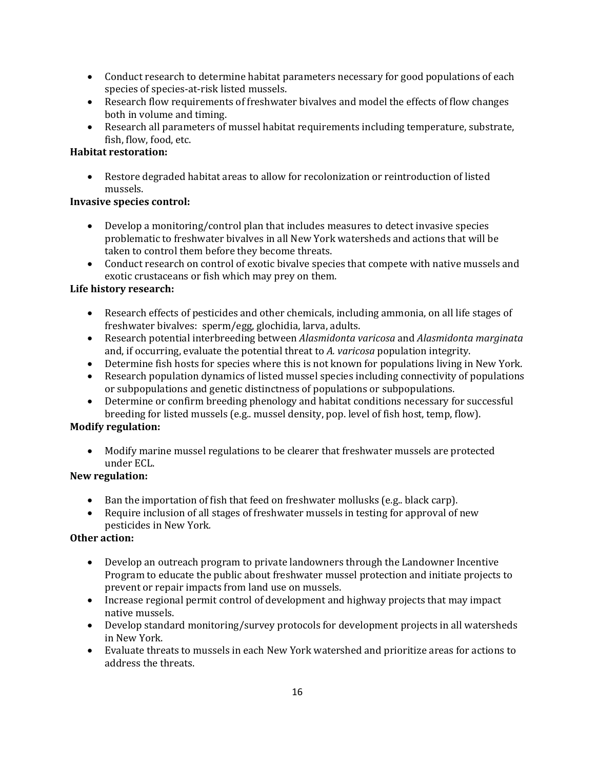- Conduct research to determine habitat parameters necessary for good populations of each species of species-at-risk listed mussels.
- Research flow requirements of freshwater bivalves and model the effects of flow changes both in volume and timing.
- Research all parameters of mussel habitat requirements including temperature, substrate, fish, flow, food, etc.

# **Habitat restoration:**

• Restore degraded habitat areas to allow for recolonization or reintroduction of listed mussels.

## **Invasive species control:**

- Develop a monitoring/control plan that includes measures to detect invasive species problematic to freshwater bivalves in all New York watersheds and actions that will be taken to control them before they become threats.
- Conduct research on control of exotic bivalve species that compete with native mussels and exotic crustaceans or fish which may prey on them.

# **Life history research:**

- Research effects of pesticides and other chemicals, including ammonia, on all life stages of freshwater bivalves: sperm/egg, glochidia, larva, adults.
- Research potential interbreeding between *Alasmidonta varicosa* and *Alasmidonta marginata* and, if occurring, evaluate the potential threat to *A. varicosa* population integrity.
- Determine fish hosts for species where this is not known for populations living in New York.
- Research population dynamics of listed mussel species including connectivity of populations or subpopulations and genetic distinctness of populations or subpopulations.
- Determine or confirm breeding phenology and habitat conditions necessary for successful breeding for listed mussels (e.g.. mussel density, pop. level of fish host, temp, flow).

# **Modify regulation:**

• Modify marine mussel regulations to be clearer that freshwater mussels are protected under ECL.

# **New regulation:**

- Ban the importation of fish that feed on freshwater mollusks (e.g., black carp).
- Require inclusion of all stages of freshwater mussels in testing for approval of new pesticides in New York*.*

# **Other action:**

- Develop an outreach program to private landowners through the Landowner Incentive Program to educate the public about freshwater mussel protection and initiate projects to prevent or repair impacts from land use on mussels.
- Increase regional permit control of development and highway projects that may impact native mussels.
- Develop standard monitoring/survey protocols for development projects in all watersheds in New York.
- Evaluate threats to mussels in each New York watershed and prioritize areas for actions to address the threats.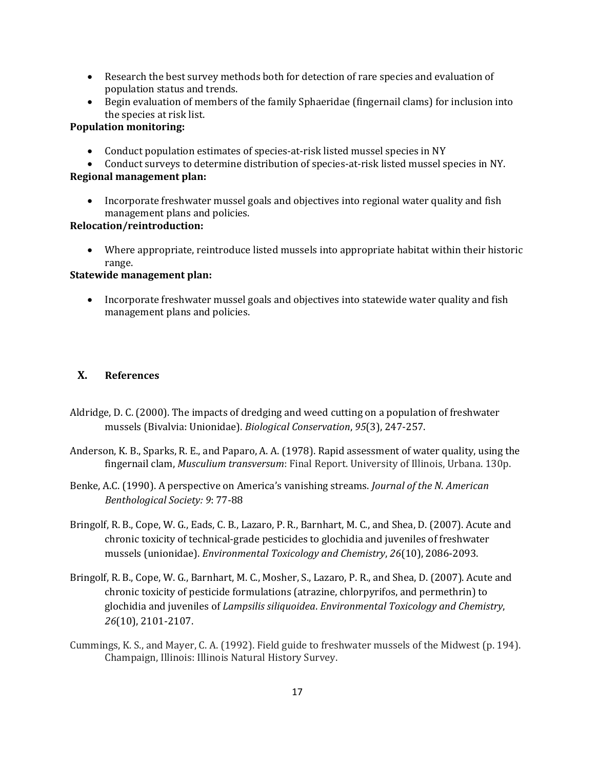- Research the best survey methods both for detection of rare species and evaluation of population status and trends.
- Begin evaluation of members of the family Sphaeridae (fingernail clams) for inclusion into the species at risk list.

### **Population monitoring:**

- Conduct population estimates of species-at-risk listed mussel species in NY
- Conduct surveys to determine distribution of species-at-risk listed mussel species in NY. **Regional management plan:**
	- Incorporate freshwater mussel goals and objectives into regional water quality and fish management plans and policies.

### **Relocation/reintroduction:**

• Where appropriate, reintroduce listed mussels into appropriate habitat within their historic range.

### **Statewide management plan:**

• Incorporate freshwater mussel goals and objectives into statewide water quality and fish management plans and policies.

## **X. References**

- Aldridge, D. C. (2000). The impacts of dredging and weed cutting on a population of freshwater mussels (Bivalvia: Unionidae). *Biological Conservation*, *95*(3), 247-257.
- Anderson, K. B., Sparks, R. E., and Paparo, A. A. (1978). Rapid assessment of water quality, using the fingernail clam, *Musculium transversum*: Final Report. University of Illinois, Urbana. 130p.
- Benke, A.C. (1990). A perspective on America's vanishing streams. *Journal of the N. American Benthological Society: 9*: 77-88
- Bringolf, R. B., Cope, W. G., Eads, C. B., Lazaro, P. R., Barnhart, M. C., and Shea, D. (2007). Acute and chronic toxicity of technical‐grade pesticides to glochidia and juveniles of freshwater mussels (unionidae). *Environmental Toxicology and Chemistry*, *26*(10), 2086-2093.
- Bringolf, R. B., Cope, W. G., Barnhart, M. C., Mosher, S., Lazaro, P. R., and Shea, D. (2007). Acute and chronic toxicity of pesticide formulations (atrazine, chlorpyrifos, and permethrin) to glochidia and juveniles of *Lampsilis siliquoidea*. *Environmental Toxicology and Chemistry*, *26*(10), 2101-2107.
- Cummings, K. S., and Mayer, C. A. (1992). Field guide to freshwater mussels of the Midwest (p. 194). Champaign, Illinois: Illinois Natural History Survey.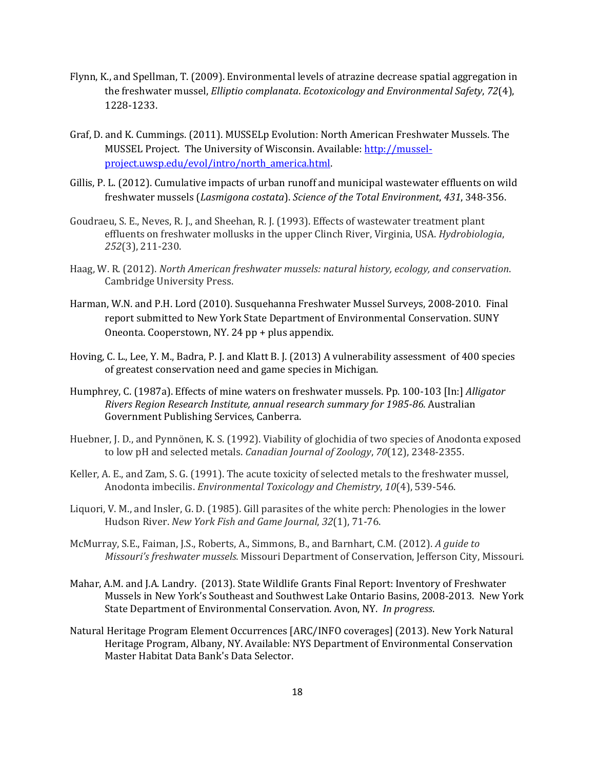- Flynn, K., and Spellman, T. (2009). Environmental levels of atrazine decrease spatial aggregation in the freshwater mussel, *Elliptio complanata*. *Ecotoxicology and Environmental Safety*, *72*(4), 1228-1233.
- Graf, D. and K. Cummings. (2011). MUSSELp Evolution: North American Freshwater Mussels. The MUSSEL Project. The University of Wisconsin. Available: [http://mussel](http://mussel-project.uwsp.edu/evol/intro/north_america.html)[project.uwsp.edu/evol/intro/north\\_america.html.](http://mussel-project.uwsp.edu/evol/intro/north_america.html)
- Gillis, P. L. (2012). Cumulative impacts of urban runoff and municipal wastewater effluents on wild freshwater mussels (*Lasmigona costata*). *Science of the Total Environment*, *431*, 348-356.
- Goudraeu, S. E., Neves, R. J., and Sheehan, R. J. (1993). Effects of wastewater treatment plant effluents on freshwater mollusks in the upper Clinch River, Virginia, USA. *Hydrobiologia*, *252*(3), 211-230.
- Haag, W. R. (2012). *North American freshwater mussels: natural history, ecology, and conservation*. Cambridge University Press.
- Harman, W.N. and P.H. Lord (2010). Susquehanna Freshwater Mussel Surveys, 2008-2010. Final report submitted to New York State Department of Environmental Conservation. SUNY Oneonta. Cooperstown, NY. 24 pp + plus appendix.
- Hoving, C. L., Lee, Y. M., Badra, P. J. and Klatt B. J. (2013) A vulnerability assessment of 400 species of greatest conservation need and game species in Michigan.
- Humphrey, C. (1987a). Effects of mine waters on freshwater mussels. Pp. 100-103 [In:] *Alligator Rivers Region Research Institute, annual research summary for 1985-86.* Australian Government Publishing Services, Canberra.
- Huebner, J. D., and Pynnönen, K. S. (1992). Viability of glochidia of two species of Anodonta exposed to low pH and selected metals. *Canadian Journal of Zoology*, *70*(12), 2348-2355.
- Keller, A. E., and Zam, S. G. (1991). The acute toxicity of selected metals to the freshwater mussel, Anodonta imbecilis. *Environmental Toxicology and Chemistry*, *10*(4), 539-546.
- Liquori, V. M., and Insler, G. D. (1985). Gill parasites of the white perch: Phenologies in the lower Hudson River. *New York Fish and Game Journal*, *32*(1), 71-76.
- McMurray, S.E., Faiman, J.S., Roberts, A., Simmons, B., and Barnhart, C.M. (2012). *A guide to Missouri's freshwater mussels.* Missouri Department of Conservation, Jefferson City, Missouri.
- Mahar, A.M. and J.A. Landry. (2013). State Wildlife Grants Final Report: Inventory of Freshwater Mussels in New York's Southeast and Southwest Lake Ontario Basins, 2008-2013. New York State Department of Environmental Conservation. Avon, NY. *In progress*.
- Natural Heritage Program Element Occurrences [ARC/INFO coverages] (2013). New York Natural Heritage Program, Albany, NY. Available: NYS Department of Environmental Conservation Master Habitat Data Bank's Data Selector.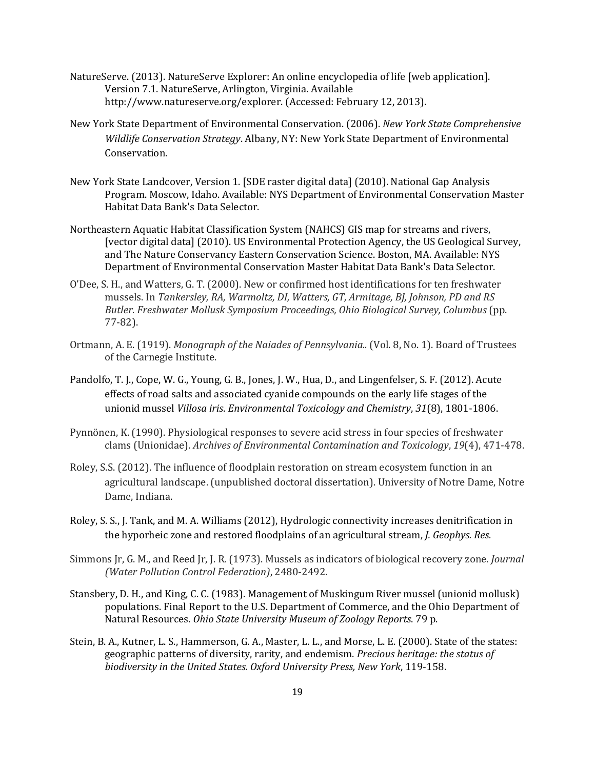- NatureServe. (2013). NatureServe Explorer: An online encyclopedia of life [web application]. Version 7.1. NatureServe, Arlington, Virginia. Available http://www.natureserve.org/explorer. (Accessed: February 12, 2013).
- New York State Department of Environmental Conservation. (2006). *New York State Comprehensive Wildlife Conservation Strategy*. Albany, NY: New York State Department of Environmental Conservation.
- New York State Landcover, Version 1. [SDE raster digital data] (2010). National Gap Analysis Program. Moscow, Idaho. Available: NYS Department of Environmental Conservation Master Habitat Data Bank's Data Selector.
- Northeastern Aquatic Habitat Classification System (NAHCS) GIS map for streams and rivers, [vector digital data] (2010). US Environmental Protection Agency, the US Geological Survey, and The Nature Conservancy Eastern Conservation Science. Boston, MA. Available: NYS Department of Environmental Conservation Master Habitat Data Bank's Data Selector.
- O'Dee, S. H., and Watters, G. T. (2000). New or confirmed host identifications for ten freshwater mussels. In *Tankersley, RA, Warmoltz, DI, Watters, GT, Armitage, BJ, Johnson, PD and RS Butler. Freshwater Mollusk Symposium Proceedings, Ohio Biological Survey, Columbus* (pp. 77-82).
- Ortmann, A. E. (1919). *Monograph of the Naiades of Pennsylvania..* (Vol. 8, No. 1). Board of Trustees of the Carnegie Institute.
- Pandolfo, T. J., Cope, W. G., Young, G. B., Jones, J. W., Hua, D., and Lingenfelser, S. F. (2012). Acute effects of road salts and associated cyanide compounds on the early life stages of the unionid mussel *Villosa iris*. *Environmental Toxicology and Chemistry*, *31*(8), 1801-1806.
- Pynnönen, K. (1990). Physiological responses to severe acid stress in four species of freshwater clams (Unionidae). *Archives of Environmental Contamination and Toxicology*, *19*(4), 471-478.
- Roley, S.S. (2012). The influence of floodplain restoration on stream ecosystem function in an agricultural landscape. (unpublished doctoral dissertation). University of Notre Dame, Notre Dame, Indiana.
- Roley, S. S., J. Tank, and M. A. Williams (2012), Hydrologic connectivity increases denitrification in the hyporheic zone and restored floodplains of an agricultural stream, *J. Geophys. Res.*
- Simmons Jr, G. M., and Reed Jr, J. R. (1973). Mussels as indicators of biological recovery zone. *Journal (Water Pollution Control Federation)*, 2480-2492.
- Stansbery, D. H., and King, C. C. (1983). Management of Muskingum River mussel (unionid mollusk) populations. Final Report to the U.S. Department of Commerce, and the Ohio Department of Natural Resources. *Ohio State University Museum of Zoology Reports*. 79 p.
- Stein, B. A., Kutner, L. S., Hammerson, G. A., Master, L. L., and Morse, L. E. (2000). State of the states: geographic patterns of diversity, rarity, and endemism. *Precious heritage: the status of biodiversity in the United States. Oxford University Press, New York*, 119-158.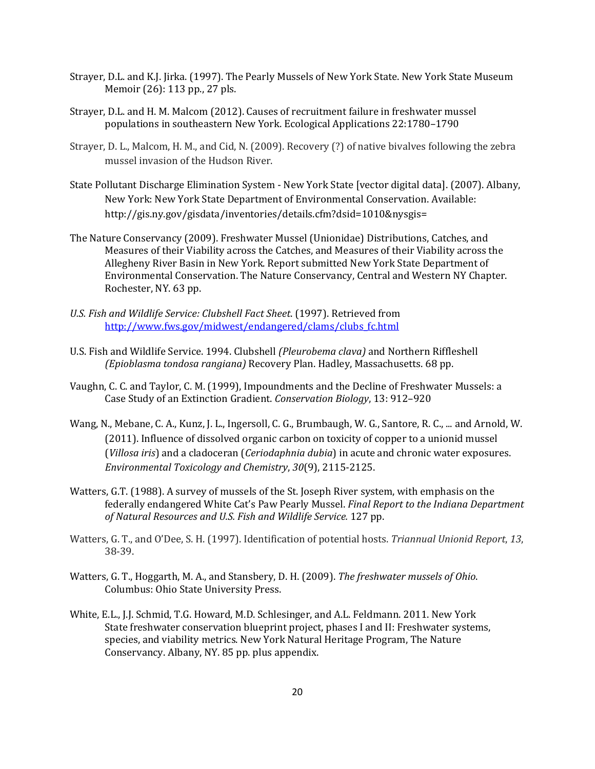- Strayer, D.L. and K.J. Jirka. (1997). The Pearly Mussels of New York State. New York State Museum Memoir (26): 113 pp., 27 pls.
- Strayer, D.L. and H. M. Malcom (2012). Causes of recruitment failure in freshwater mussel populations in southeastern New York. Ecological Applications 22:1780–1790
- Strayer, D. L., Malcom, H. M., and Cid, N. (2009). Recovery (?) of native bivalves following the zebra mussel invasion of the Hudson River.
- State Pollutant Discharge Elimination System New York State [vector digital data]. (2007). Albany, New York: New York State Department of Environmental Conservation. Available: http://gis.ny.gov/gisdata/inventories/details.cfm?dsid=1010&nysgis=
- The Nature Conservancy (2009). Freshwater Mussel (Unionidae) Distributions, Catches, and Measures of their Viability across the Catches, and Measures of their Viability across the Allegheny River Basin in New York. Report submitted New York State Department of Environmental Conservation. The Nature Conservancy, Central and Western NY Chapter. Rochester, NY. 63 pp.
- *U.S. Fish and Wildlife Service: Clubshell Fact Sheet*. (1997). Retrieved from [http://www.fws.gov/midwest/endangered/clams/clubs\\_fc.html](http://www.fws.gov/midwest/endangered/clams/clubs_fc.html)
- U.S. Fish and Wildlife Service. 1994. Clubshell *(Pleurobema clava)* and Northern Riffleshell *(Epioblasma tondosa rangiana)* Recovery Plan. Hadley, Massachusetts. 68 pp.
- Vaughn, C. C. and Taylor, C. M. (1999), Impoundments and the Decline of Freshwater Mussels: a Case Study of an Extinction Gradient. *Conservation Biology*, 13: 912–920
- Wang, N., Mebane, C. A., Kunz, J. L., Ingersoll, C. G., Brumbaugh, W. G., Santore, R. C., ... and Arnold, W. (2011). Influence of dissolved organic carbon on toxicity of copper to a unionid mussel (*Villosa iris*) and a cladoceran (*Ceriodaphnia dubia*) in acute and chronic water exposures. *Environmental Toxicology and Chemistry*, *30*(9), 2115-2125.
- Watters, G.T. (1988). A survey of mussels of the St. Joseph River system, with emphasis on the federally endangered White Cat's Paw Pearly Mussel. *Final Report to the Indiana Department of Natural Resources and U.S. Fish and Wildlife Service.* 127 pp.
- Watters, G. T., and O'Dee, S. H. (1997). Identification of potential hosts. *Triannual Unionid Report*, *13*, 38-39.
- Watters, G. T., Hoggarth, M. A., and Stansbery, D. H. (2009). *The freshwater mussels of Ohio*. Columbus: Ohio State University Press.
- White, E.L., J.J. Schmid, T.G. Howard, M.D. Schlesinger, and A.L. Feldmann. 2011. New York State freshwater conservation blueprint project, phases I and II: Freshwater systems, species, and viability metrics. New York Natural Heritage Program, The Nature Conservancy. Albany, NY. 85 pp. plus appendix.